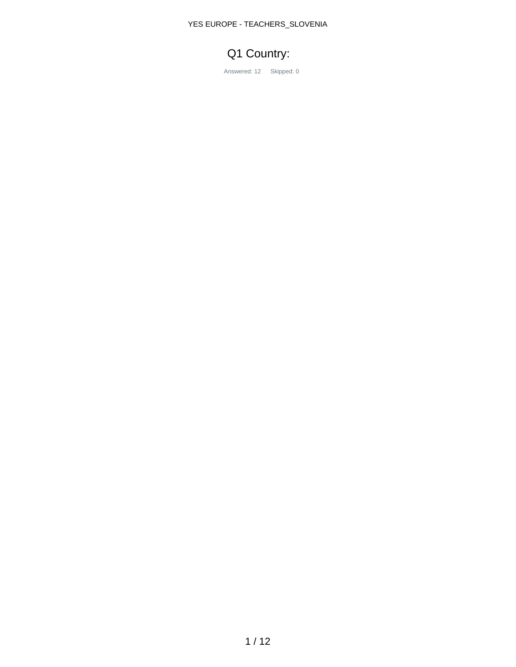#### YES EUROPE - TEACHERS\_SLOVENIA

# Q1 Country:

Answered: 12 Skipped: 0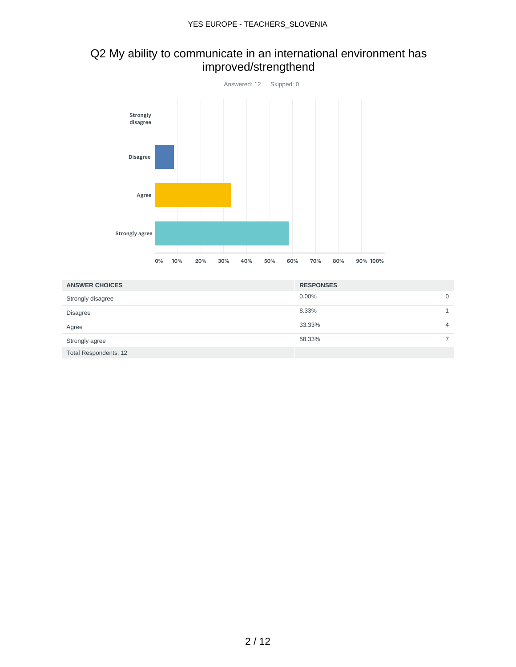## Q2 My ability to communicate in an international environment has improved/strengthend



| <b>ANSWER CHOICES</b>        | <b>RESPONSES</b> |   |
|------------------------------|------------------|---|
| Strongly disagree            | 0.00%            | 0 |
| <b>Disagree</b>              | 8.33%            |   |
| Agree                        | 33.33%           | 4 |
| Strongly agree               | 58.33%           |   |
| <b>Total Respondents: 12</b> |                  |   |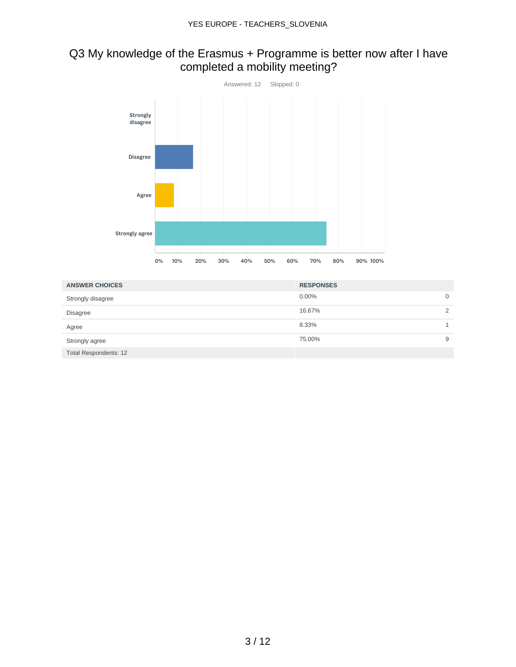## Q3 My knowledge of the Erasmus + Programme is better now after I have completed a mobility meeting?



| <b>ANSWER CHOICES</b>        | <b>RESPONSES</b> |          |
|------------------------------|------------------|----------|
| Strongly disagree            | 0.00%            | 0        |
| <b>Disagree</b>              | 16.67%           | $\Omega$ |
| Agree                        | 8.33%            |          |
| Strongly agree               | 75.00%           | 9        |
| <b>Total Respondents: 12</b> |                  |          |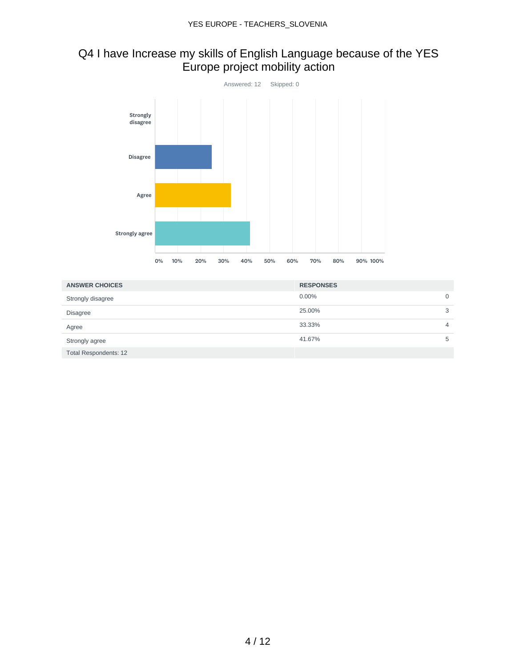#### Q4 I have Increase my skills of English Language because of the YES Europe project mobility action



| <b>ANSWER CHOICES</b> | <b>RESPONSES</b> |   |
|-----------------------|------------------|---|
| Strongly disagree     | 0.00%            | 0 |
| <b>Disagree</b>       | 25.00%           | 3 |
| Agree                 | 33.33%           | 4 |
| Strongly agree        | 41.67%           | 5 |
| Total Respondents: 12 |                  |   |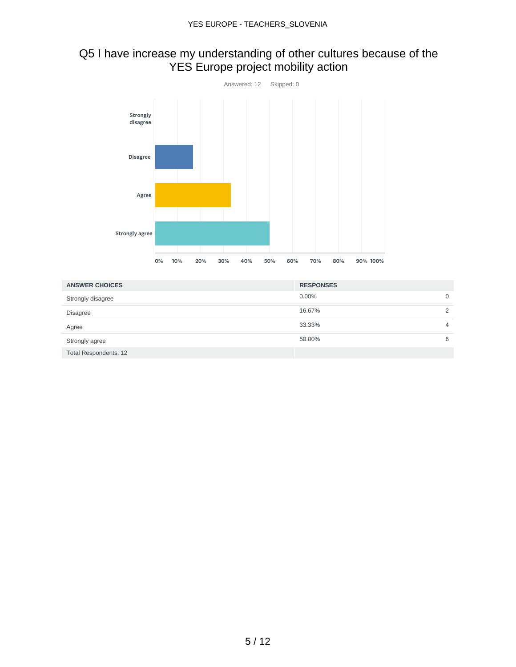### Q5 I have increase my understanding of other cultures because of the YES Europe project mobility action



| <b>ANSWER CHOICES</b> | <b>RESPONSES</b> |               |
|-----------------------|------------------|---------------|
| Strongly disagree     | 0.00%            | 0             |
| <b>Disagree</b>       | 16.67%           | $\mathcal{D}$ |
| Agree                 | 33.33%           | 4             |
| Strongly agree        | 50.00%           | 6             |
| Total Respondents: 12 |                  |               |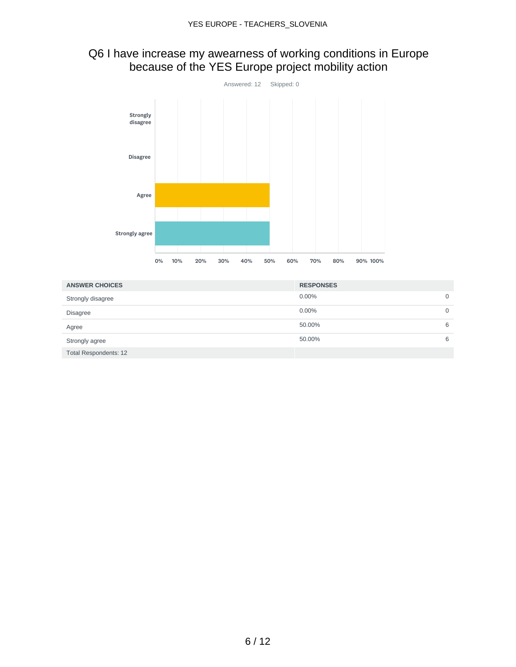#### Q6 I have increase my awearness of working conditions in Europe because of the YES Europe project mobility action



| <b>ANSWER CHOICES</b> | <b>RESPONSES</b> |   |
|-----------------------|------------------|---|
| Strongly disagree     | 0.00%            | 0 |
| <b>Disagree</b>       | 0.00%            | 0 |
| Agree                 | 50.00%           | 6 |
| Strongly agree        | 50.00%           | 6 |
| Total Respondents: 12 |                  |   |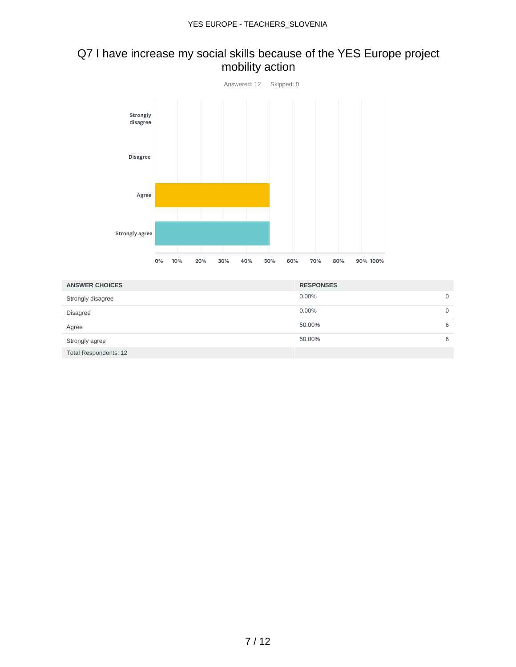### Q7 I have increase my social skills because of the YES Europe project mobility action



| <b>ANSWER CHOICES</b>        | <b>RESPONSES</b> |   |
|------------------------------|------------------|---|
| Strongly disagree            | 0.00%            | O |
| <b>Disagree</b>              | 0.00%            |   |
| Agree                        | 50.00%           | 6 |
| Strongly agree               | 50.00%           | 6 |
| <b>Total Respondents: 12</b> |                  |   |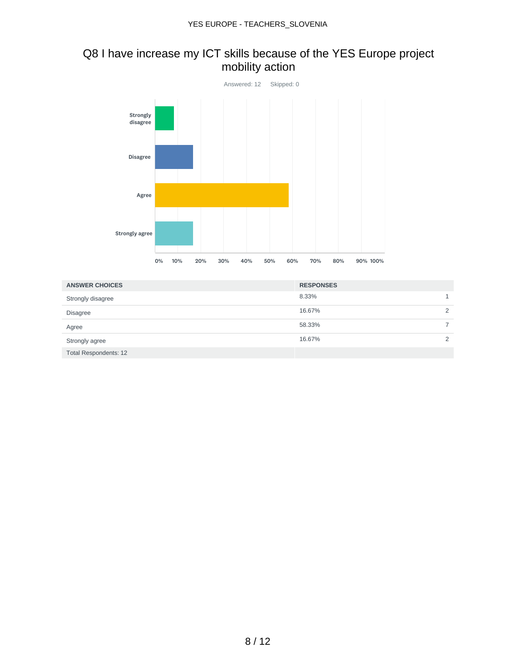### Q8 I have increase my ICT skills because of the YES Europe project mobility action



| <b>ANSWER CHOICES</b> | <b>RESPONSES</b> |          |
|-----------------------|------------------|----------|
| Strongly disagree     | 8.33%            |          |
| <b>Disagree</b>       | 16.67%           | $\Omega$ |
| Agree                 | 58.33%           |          |
| Strongly agree        | 16.67%           | $\Omega$ |
| Total Respondents: 12 |                  |          |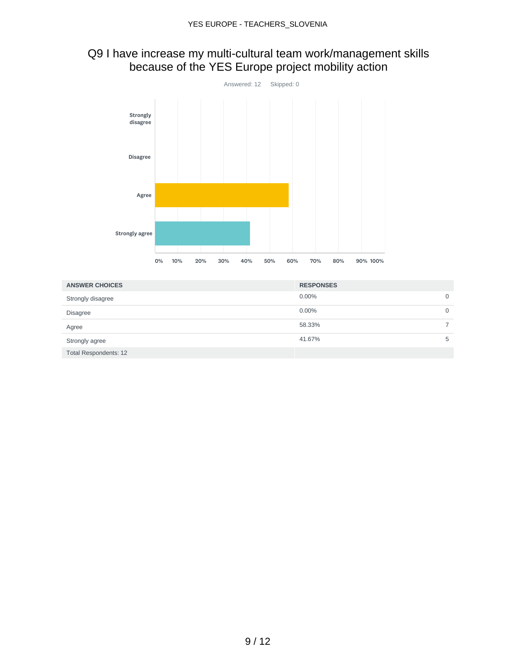#### Q9 I have increase my multi-cultural team work/management skills because of the YES Europe project mobility action



| <b>ANSWER CHOICES</b> | <b>RESPONSES</b> |   |
|-----------------------|------------------|---|
| Strongly disagree     | 0.00%            | 0 |
| <b>Disagree</b>       | 0.00%            | 0 |
| Agree                 | 58.33%           |   |
| Strongly agree        | 41.67%           | 5 |
| Total Respondents: 12 |                  |   |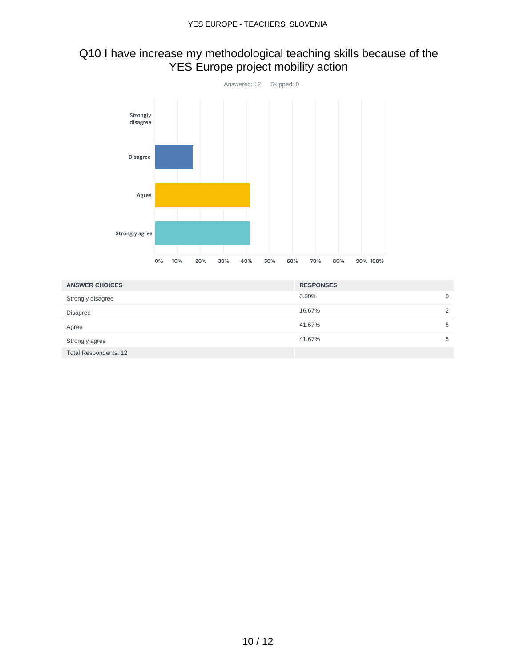### Q10 I have increase my methodological teaching skills because of the YES Europe project mobility action



| <b>ANSWER CHOICES</b> | <b>RESPONSES</b> |               |
|-----------------------|------------------|---------------|
| Strongly disagree     | 0.00%            | 0             |
| <b>Disagree</b>       | 16.67%           | $\mathcal{D}$ |
| Agree                 | 41.67%           | 5             |
| Strongly agree        | 41.67%           | 5             |
| Total Respondents: 12 |                  |               |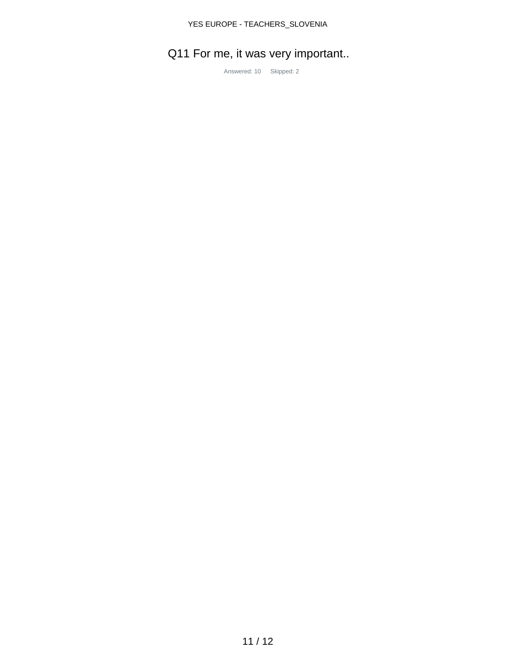# Q11 For me, it was very important..

Answered: 10 Skipped: 2